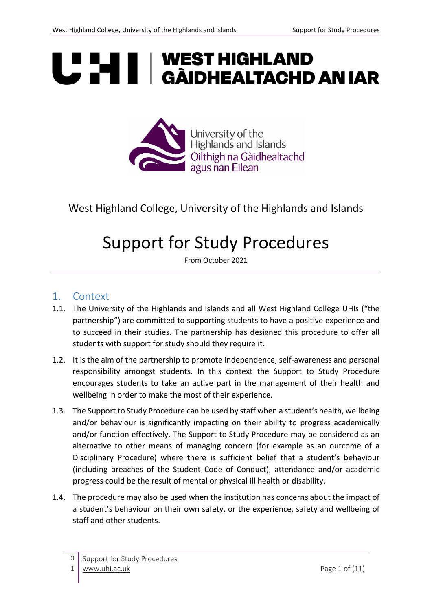# **UP HEAL | WEST HIGHLAND<br>UP HEAL | GÀIDHEALTACHD AN IAR**



### West Highland College, University of the Highlands and Islands

## Support for Study Procedures

From October 2021

#### 1. Context

- 1.1. The University of the Highlands and Islands and all West Highland College UHIs ("the partnership") are committed to supporting students to have a positive experience and to succeed in their studies. The partnership has designed this procedure to offer all students with support for study should they require it.
- 1.2. It is the aim of the partnership to promote independence, self-awareness and personal responsibility amongst students. In this context the Support to Study Procedure encourages students to take an active part in the management of their health and wellbeing in order to make the most of their experience.
- 1.3. The Support to Study Procedure can be used by staff when a student's health, wellbeing and/or behaviour is significantly impacting on their ability to progress academically and/or function effectively. The Support to Study Procedure may be considered as an alternative to other means of managing concern (for example as an outcome of a Disciplinary Procedure) where there is sufficient belief that a student's behaviour (including breaches of the Student Code of Conduct), attendance and/or academic progress could be the result of mental or physical ill health or disability.
- 1.4. The procedure may also be used when the institution has concerns about the impact of a student's behaviour on their own safety, or the experience, safety and wellbeing of staff and other students.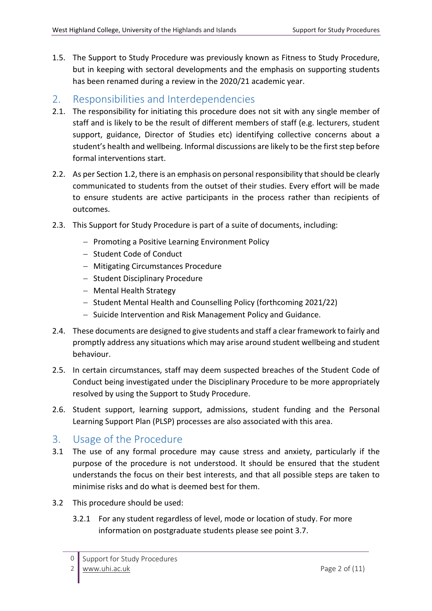1.5. The Support to Study Procedure was previously known as Fitness to Study Procedure, but in keeping with sectoral developments and the emphasis on supporting students has been renamed during a review in the 2020/21 academic year.

#### 2. Responsibilities and Interdependencies

- 2.1. The responsibility for initiating this procedure does not sit with any single member of staff and is likely to be the result of different members of staff (e.g. lecturers, student support, guidance, Director of Studies etc) identifying collective concerns about a student's health and wellbeing. Informal discussions are likely to be the first step before formal interventions start.
- 2.2. As per Section 1.2, there is an emphasis on personal responsibility that should be clearly communicated to students from the outset of their studies. Every effort will be made to ensure students are active participants in the process rather than recipients of outcomes.
- 2.3. This Support for Study Procedure is part of a suite of documents, including:
	- − Promoting a Positive Learning Environment Policy
	- − Student Code of Conduct
	- − Mitigating Circumstances Procedure
	- − Student Disciplinary Procedure
	- − Mental Health Strategy
	- − Student Mental Health and Counselling Policy (forthcoming 2021/22)
	- − Suicide Intervention and Risk Management Policy and Guidance.
- 2.4. These documents are designed to give students and staff a clear framework to fairly and promptly address any situations which may arise around student wellbeing and student behaviour.
- 2.5. In certain circumstances, staff may deem suspected breaches of the Student Code of Conduct being investigated under the Disciplinary Procedure to be more appropriately resolved by using the Support to Study Procedure.
- 2.6. Student support, learning support, admissions, student funding and the Personal Learning Support Plan (PLSP) processes are also associated with this area.

#### 3. Usage of the Procedure

- 3.1 The use of any formal procedure may cause stress and anxiety, particularly if the purpose of the procedure is not understood. It should be ensured that the student understands the focus on their best interests, and that all possible steps are taken to minimise risks and do what is deemed best for them.
- 3.2 This procedure should be used:
	- 3.2.1 For any student regardless of level, mode or location of study. For more information on postgraduate students please see point 3.7.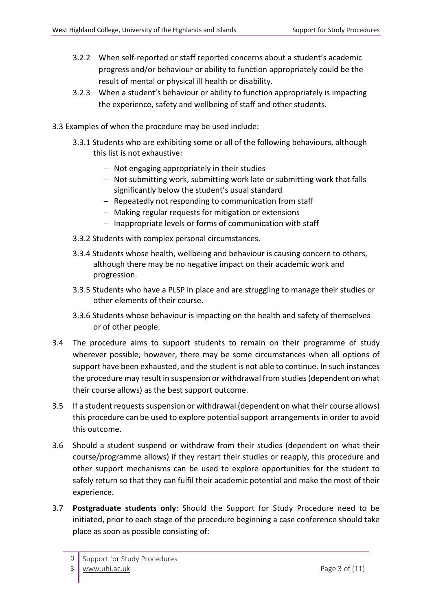- 3.2.2 When self-reported or staff reported concerns about a student's academic progress and/or behaviour or ability to function appropriately could be the result of mental or physical ill health or disability.
- 3.2.3 When a student's behaviour or ability to function appropriately is impacting the experience, safety and wellbeing of staff and other students.
- 3.3 Examples of when the procedure may be used include:
	- 3.3.1 Students who are exhibiting some or all of the following behaviours, although this list is not exhaustive:
		- − Not engaging appropriately in their studies
		- − Not submitting work, submitting work late or submitting work that falls significantly below the student's usual standard
		- − Repeatedly not responding to communication from staff
		- − Making regular requests for mitigation or extensions
		- − Inappropriate levels or forms of communication with staff
	- 3.3.2 Students with complex personal circumstances.
	- 3.3.4 Students whose health, wellbeing and behaviour is causing concern to others, although there may be no negative impact on their academic work and progression.
	- 3.3.5 Students who have a PLSP in place and are struggling to manage their studies or other elements of their course.
	- 3.3.6 Students whose behaviour is impacting on the health and safety of themselves or of other people.
- 3.4 The procedure aims to support students to remain on their programme of study wherever possible; however, there may be some circumstances when all options of support have been exhausted, and the student is not able to continue. In such instances the procedure may result in suspension or withdrawal from studies(dependent on what their course allows) as the best support outcome.
- 3.5 If a student requests suspension or withdrawal (dependent on what their course allows) this procedure can be used to explore potential support arrangements in order to avoid this outcome.
- 3.6 Should a student suspend or withdraw from their studies (dependent on what their course/programme allows) if they restart their studies or reapply, this procedure and other support mechanisms can be used to explore opportunities for the student to safely return so that they can fulfil their academic potential and make the most of their experience.
- 3.7 **Postgraduate students only**: Should the Support for Study Procedure need to be initiated, prior to each stage of the procedure beginning a case conference should take place as soon as possible consisting of: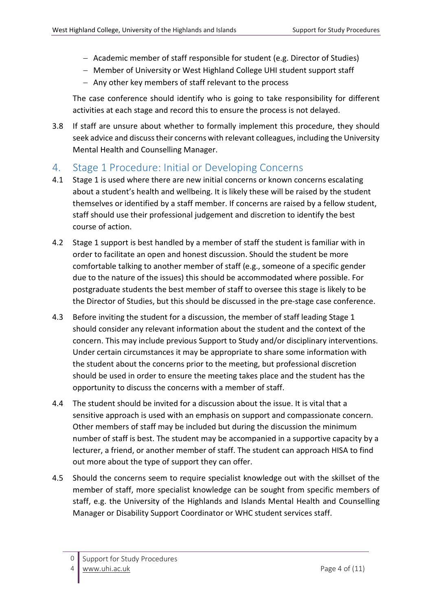- − Academic member of staff responsible for student (e.g. Director of Studies)
- − Member of University or West Highland College UHI student support staff
- − Any other key members of staff relevant to the process

The case conference should identify who is going to take responsibility for different activities at each stage and record this to ensure the process is not delayed.

3.8 If staff are unsure about whether to formally implement this procedure, they should seek advice and discuss their concerns with relevant colleagues, including the University Mental Health and Counselling Manager.

#### 4. Stage 1 Procedure: Initial or Developing Concerns

- 4.1 Stage 1 is used where there are new initial concerns or known concerns escalating about a student's health and wellbeing. It is likely these will be raised by the student themselves or identified by a staff member. If concerns are raised by a fellow student, staff should use their professional judgement and discretion to identify the best course of action.
- 4.2 Stage 1 support is best handled by a member of staff the student is familiar with in order to facilitate an open and honest discussion. Should the student be more comfortable talking to another member of staff (e.g., someone of a specific gender due to the nature of the issues) this should be accommodated where possible. For postgraduate students the best member of staff to oversee this stage is likely to be the Director of Studies, but this should be discussed in the pre-stage case conference.
- 4.3 Before inviting the student for a discussion, the member of staff leading Stage 1 should consider any relevant information about the student and the context of the concern. This may include previous Support to Study and/or disciplinary interventions. Under certain circumstances it may be appropriate to share some information with the student about the concerns prior to the meeting, but professional discretion should be used in order to ensure the meeting takes place and the student has the opportunity to discuss the concerns with a member of staff.
- 4.4 The student should be invited for a discussion about the issue. It is vital that a sensitive approach is used with an emphasis on support and compassionate concern. Other members of staff may be included but during the discussion the minimum number of staff is best. The student may be accompanied in a supportive capacity by a lecturer, a friend, or another member of staff. The student can approach HISA to find out more about the type of support they can offer.
- 4.5 Should the concerns seem to require specialist knowledge out with the skillset of the member of staff, more specialist knowledge can be sought from specific members of staff, e.g. the University of the Highlands and Islands Mental Health and Counselling Manager or Disability Support Coordinator or WHC student services staff.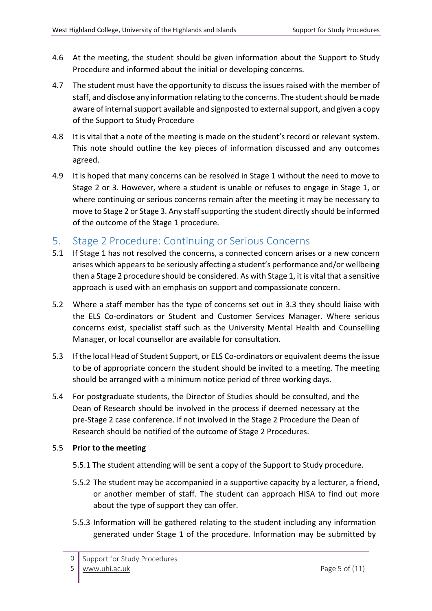- 4.6 At the meeting, the student should be given information about the Support to Study Procedure and informed about the initial or developing concerns.
- 4.7 The student must have the opportunity to discuss the issues raised with the member of staff, and disclose any information relating to the concerns. The student should be made aware of internal support available and signposted to external support, and given a copy of the Support to Study Procedure
- 4.8 It is vital that a note of the meeting is made on the student's record or relevant system. This note should outline the key pieces of information discussed and any outcomes agreed.
- 4.9 It is hoped that many concerns can be resolved in Stage 1 without the need to move to Stage 2 or 3. However, where a student is unable or refuses to engage in Stage 1, or where continuing or serious concerns remain after the meeting it may be necessary to move to Stage 2 or Stage 3. Any staff supporting the student directly should be informed of the outcome of the Stage 1 procedure.

#### 5. Stage 2 Procedure: Continuing or Serious Concerns

- 5.1 If Stage 1 has not resolved the concerns, a connected concern arises or a new concern arises which appears to be seriously affecting a student's performance and/or wellbeing then a Stage 2 procedure should be considered. As with Stage 1, it is vital that a sensitive approach is used with an emphasis on support and compassionate concern.
- 5.2 Where a staff member has the type of concerns set out in 3.3 they should liaise with the ELS Co-ordinators or Student and Customer Services Manager. Where serious concerns exist, specialist staff such as the University Mental Health and Counselling Manager, or local counsellor are available for consultation.
- 5.3 If the local Head of Student Support, or ELS Co-ordinators or equivalent deems the issue to be of appropriate concern the student should be invited to a meeting. The meeting should be arranged with a minimum notice period of three working days.
- 5.4 For postgraduate students, the Director of Studies should be consulted, and the Dean of Research should be involved in the process if deemed necessary at the pre-Stage 2 case conference. If not involved in the Stage 2 Procedure the Dean of Research should be notified of the outcome of Stage 2 Procedures.

#### 5.5 **Prior to the meeting**

- 5.5.1 The student attending will be sent a copy of the Support to Study procedure.
- 5.5.2 The student may be accompanied in a supportive capacity by a lecturer, a friend, or another member of staff. The student can approach HISA to find out more about the type of support they can offer.
- 5.5.3 Information will be gathered relating to the student including any information generated under Stage 1 of the procedure. Information may be submitted by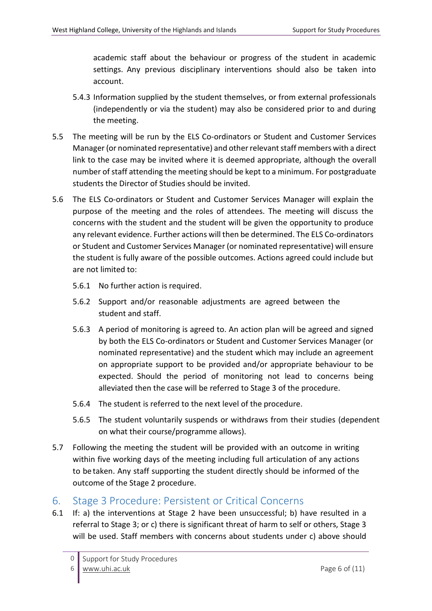academic staff about the behaviour or progress of the student in academic settings. Any previous disciplinary interventions should also be taken into account.

- 5.4.3 Information supplied by the student themselves, or from external professionals (independently or via the student) may also be considered prior to and during the meeting.
- 5.5 The meeting will be run by the ELS Co-ordinators or Student and Customer Services Manager(or nominated representative) and other relevant staff members with a direct link to the case may be invited where it is deemed appropriate, although the overall number of staff attending the meeting should be kept to a minimum. For postgraduate students the Director of Studies should be invited.
- 5.6 The ELS Co-ordinators or Student and Customer Services Manager will explain the purpose of the meeting and the roles of attendees. The meeting will discuss the concerns with the student and the student will be given the opportunity to produce any relevant evidence. Further actions will then be determined. The ELS Co-ordinators or Student and Customer Services Manager (or nominated representative) will ensure the student is fully aware of the possible outcomes. Actions agreed could include but are not limited to:
	- 5.6.1 No further action is required.
	- 5.6.2 Support and/or reasonable adjustments are agreed between the student and staff.
	- 5.6.3 A period of monitoring is agreed to. An action plan will be agreed and signed by both the ELS Co-ordinators or Student and Customer Services Manager (or nominated representative) and the student which may include an agreement on appropriate support to be provided and/or appropriate behaviour to be expected. Should the period of monitoring not lead to concerns being alleviated then the case will be referred to Stage 3 of the procedure.
	- 5.6.4 The student is referred to the next level of the procedure.
	- 5.6.5 The student voluntarily suspends or withdraws from their studies (dependent on what their course/programme allows).
- 5.7 Following the meeting the student will be provided with an outcome in writing within five working days of the meeting including full articulation of any actions to be taken. Any staff supporting the student directly should be informed of the outcome of the Stage 2 procedure.

#### 6. Stage 3 Procedure: Persistent or Critical Concerns

6.1 If: a) the interventions at Stage 2 have been unsuccessful; b) have resulted in a referral to Stage 3; or c) there is significant threat of harm to self or others, Stage 3 will be used. Staff members with concerns about students under c) above should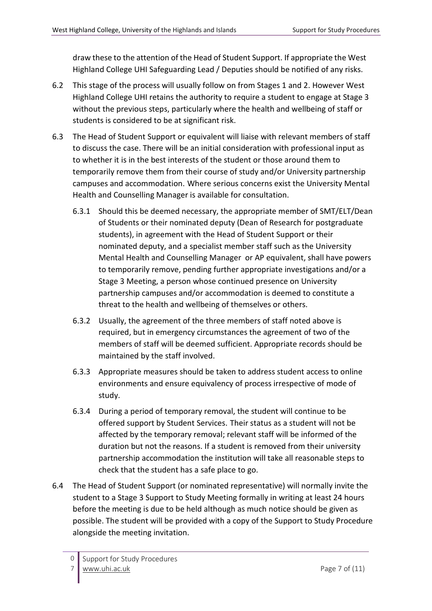draw these to the attention of the Head of Student Support. If appropriate the West Highland College UHI Safeguarding Lead / Deputies should be notified of any risks.

- 6.2 This stage of the process will usually follow on from Stages 1 and 2. However West Highland College UHI retains the authority to require a student to engage at Stage 3 without the previous steps, particularly where the health and wellbeing of staff or students is considered to be at significant risk.
- 6.3 The Head of Student Support or equivalent will liaise with relevant members of staff to discuss the case. There will be an initial consideration with professional input as to whether it is in the best interests of the student or those around them to temporarily remove them from their course of study and/or University partnership campuses and accommodation. Where serious concerns exist the University Mental Health and Counselling Manager is available for consultation.
	- 6.3.1 Should this be deemed necessary, the appropriate member of SMT/ELT/Dean of Students or their nominated deputy (Dean of Research for postgraduate students), in agreement with the Head of Student Support or their nominated deputy, and a specialist member staff such as the University Mental Health and Counselling Manager or AP equivalent, shall have powers to temporarily remove, pending further appropriate investigations and/or a Stage 3 Meeting, a person whose continued presence on University partnership campuses and/or accommodation is deemed to constitute a threat to the health and wellbeing of themselves or others.
	- 6.3.2 Usually, the agreement of the three members of staff noted above is required, but in emergency circumstances the agreement of two of the members of staff will be deemed sufficient. Appropriate records should be maintained by the staff involved.
	- 6.3.3 Appropriate measures should be taken to address student access to online environments and ensure equivalency of process irrespective of mode of study.
	- 6.3.4 During a period of temporary removal, the student will continue to be offered support by Student Services. Their status as a student will not be affected by the temporary removal; relevant staff will be informed of the duration but not the reasons. If a student is removed from their university partnership accommodation the institution will take all reasonable steps to check that the student has a safe place to go.
- 6.4 The Head of Student Support (or nominated representative) will normally invite the student to a Stage 3 Support to Study Meeting formally in writing at least 24 hours before the meeting is due to be held although as much notice should be given as possible. The student will be provided with a copy of the Support to Study Procedure alongside the meeting invitation.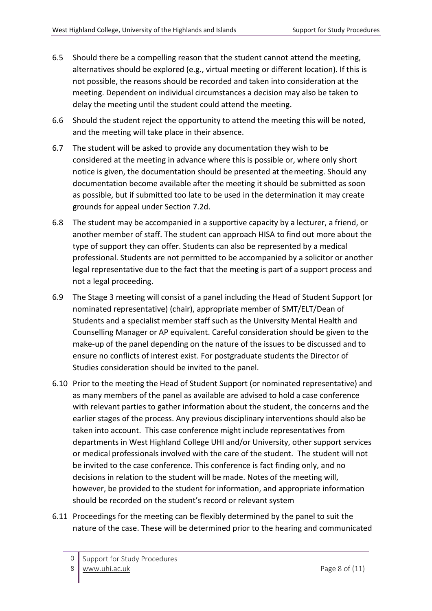- 6.5 Should there be a compelling reason that the student cannot attend the meeting, alternatives should be explored (e.g., virtual meeting or different location). If this is not possible, the reasons should be recorded and taken into consideration at the meeting. Dependent on individual circumstances a decision may also be taken to delay the meeting until the student could attend the meeting.
- 6.6 Should the student reject the opportunity to attend the meeting this will be noted, and the meeting will take place in their absence.
- 6.7 The student will be asked to provide any documentation they wish to be considered at the meeting in advance where this is possible or, where only short notice is given, the documentation should be presented at themeeting. Should any documentation become available after the meeting it should be submitted as soon as possible, but if submitted too late to be used in the determination it may create grounds for appeal under Section 7.2d.
- 6.8 The student may be accompanied in a supportive capacity by a lecturer, a friend, or another member of staff. The student can approach HISA to find out more about the type of support they can offer. Students can also be represented by a medical professional. Students are not permitted to be accompanied by a solicitor or another legal representative due to the fact that the meeting is part of a support process and not a legal proceeding.
- 6.9 The Stage 3 meeting will consist of a panel including the Head of Student Support (or nominated representative) (chair), appropriate member of SMT/ELT/Dean of Students and a specialist member staff such as the University Mental Health and Counselling Manager or AP equivalent. Careful consideration should be given to the make-up of the panel depending on the nature of the issues to be discussed and to ensure no conflicts of interest exist. For postgraduate students the Director of Studies consideration should be invited to the panel.
- 6.10 Prior to the meeting the Head of Student Support (or nominated representative) and as many members of the panel as available are advised to hold a case conference with relevant parties to gather information about the student, the concerns and the earlier stages of the process. Any previous disciplinary interventions should also be taken into account. This case conference might include representatives from departments in West Highland College UHI and/or University, other support services or medical professionals involved with the care of the student. The student will not be invited to the case conference. This conference is fact finding only, and no decisions in relation to the student will be made. Notes of the meeting will, however, be provided to the student for information, and appropriate information should be recorded on the student's record or relevant system
- 6.11 Proceedings for the meeting can be flexibly determined by the panel to suit the nature of the case. These will be determined prior to the hearing and communicated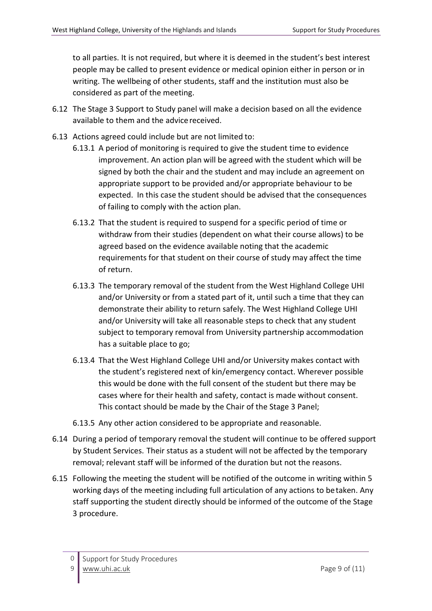to all parties. It is not required, but where it is deemed in the student's best interest people may be called to present evidence or medical opinion either in person or in writing. The wellbeing of other students, staff and the institution must also be considered as part of the meeting.

- 6.12 The Stage 3 Support to Study panel will make a decision based on all the evidence available to them and the advicereceived.
- 6.13 Actions agreed could include but are not limited to:
	- 6.13.1 A period of monitoring is required to give the student time to evidence improvement. An action plan will be agreed with the student which will be signed by both the chair and the student and may include an agreement on appropriate support to be provided and/or appropriate behaviour to be expected. In this case the student should be advised that the consequences of failing to comply with the action plan.
	- 6.13.2 That the student is required to suspend for a specific period of time or withdraw from their studies (dependent on what their course allows) to be agreed based on the evidence available noting that the academic requirements for that student on their course of study may affect the time of return.
	- 6.13.3 The temporary removal of the student from the West Highland College UHI and/or University or from a stated part of it, until such a time that they can demonstrate their ability to return safely. The West Highland College UHI and/or University will take all reasonable steps to check that any student subject to temporary removal from University partnership accommodation has a suitable place to go;
	- 6.13.4 That the West Highland College UHI and/or University makes contact with the student's registered next of kin/emergency contact. Wherever possible this would be done with the full consent of the student but there may be cases where for their health and safety, contact is made without consent. This contact should be made by the Chair of the Stage 3 Panel;
	- 6.13.5 Any other action considered to be appropriate and reasonable.
- 6.14 During a period of temporary removal the student will continue to be offered support by Student Services. Their status as a student will not be affected by the temporary removal; relevant staff will be informed of the duration but not the reasons.
- 6.15 Following the meeting the student will be notified of the outcome in writing within 5 working days of the meeting including full articulation of any actions to betaken. Any staff supporting the student directly should be informed of the outcome of the Stage 3 procedure.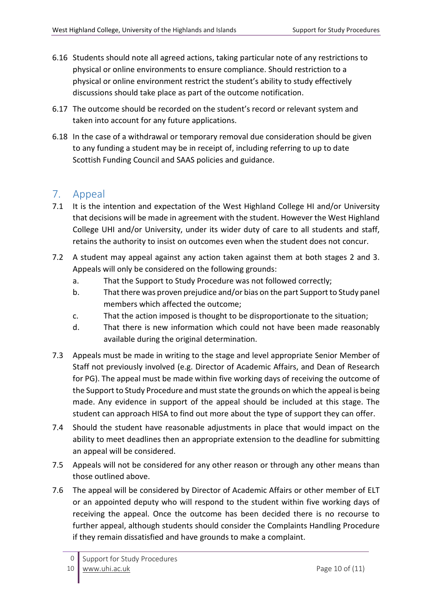- 6.16 Students should note all agreed actions, taking particular note of any restrictions to physical or online environments to ensure compliance. Should restriction to a physical or online environment restrict the student's ability to study effectively discussions should take place as part of the outcome notification.
- 6.17 The outcome should be recorded on the student's record or relevant system and taken into account for any future applications.
- 6.18 In the case of a withdrawal or temporary removal due consideration should be given to any funding a student may be in receipt of, including referring to up to date Scottish Funding Council and SAAS policies and guidance.

#### 7. Appeal

- 7.1 It is the intention and expectation of the West Highland College HI and/or University that decisions will be made in agreement with the student. However the West Highland College UHI and/or University, under its wider duty of care to all students and staff, retains the authority to insist on outcomes even when the student does not concur.
- 7.2 A student may appeal against any action taken against them at both stages 2 and 3. Appeals will only be considered on the following grounds:
	- a. That the Support to Study Procedure was not followed correctly;
	- b. That there was proven prejudice and/or bias on the part Support to Study panel members which affected the outcome;
	- c. That the action imposed is thought to be disproportionate to the situation;
	- d. That there is new information which could not have been made reasonably available during the original determination.
- 7.3 Appeals must be made in writing to the stage and level appropriate Senior Member of Staff not previously involved (e.g. Director of Academic Affairs, and Dean of Research for PG). The appeal must be made within five working days of receiving the outcome of the Support to Study Procedure and must state the grounds on which the appeal is being made. Any evidence in support of the appeal should be included at this stage. The student can approach HISA to find out more about the type of support they can offer.
- 7.4 Should the student have reasonable adjustments in place that would impact on the ability to meet deadlines then an appropriate extension to the deadline for submitting an appeal will be considered.
- 7.5 Appeals will not be considered for any other reason or through any other means than those outlined above.
- 7.6 The appeal will be considered by Director of Academic Affairs or other member of ELT or an appointed deputy who will respond to the student within five working days of receiving the appeal. Once the outcome has been decided there is no recourse to further appeal, although students should consider the Complaints Handling Procedure if they remain dissatisfied and have grounds to make a complaint.